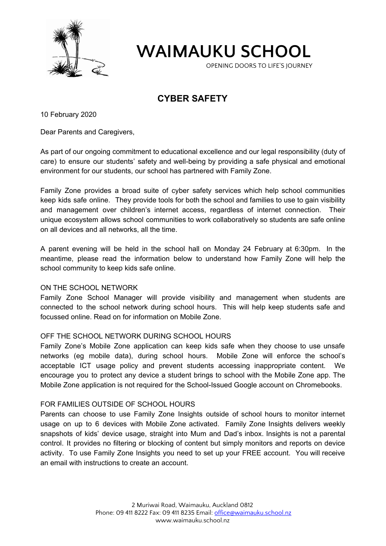

**WAIMAUKU SCHOOL**

OPENING DOORS TO LIFE'S JOURNEY

# **CYBER SAFETY**

10 February 2020

Dear Parents and Caregivers,

As part of our ongoing commitment to educational excellence and our legal responsibility (duty of care) to ensure our students' safety and well-being by providing a safe physical and emotional environment for our students, our school has partnered with Family Zone.

Family Zone provides a broad suite of cyber safety services which help school communities keep kids safe online. They provide tools for both the school and families to use to gain visibility and management over children's internet access, regardless of internet connection. Their unique ecosystem allows school communities to work collaboratively so students are safe online on all devices and all networks, all the time.

A parent evening will be held in the school hall on Monday 24 February at 6:30pm. In the meantime, please read the information below to understand how Family Zone will help the school community to keep kids safe online.

## ON THE SCHOOL NETWORK

Family Zone School Manager will provide visibility and management when students are connected to the school network during school hours. This will help keep students safe and focussed online. Read on for information on Mobile Zone.

## OFF THE SCHOOL NETWORK DURING SCHOOL HOURS

Family Zone's Mobile Zone application can keep kids safe when they choose to use unsafe networks (eg mobile data), during school hours. Mobile Zone will enforce the school's acceptable ICT usage policy and prevent students accessing inappropriate content. We encourage you to protect any device a student brings to school with the Mobile Zone app. The Mobile Zone application is not required for the School-Issued Google account on Chromebooks.

#### FOR FAMILIES OUTSIDE OF SCHOOL HOURS

Parents can choose to use Family Zone Insights outside of school hours to monitor internet usage on up to 6 devices with Mobile Zone activated. Family Zone Insights delivers weekly snapshots of kids' device usage, straight into Mum and Dad's inbox. Insights is not a parental control. It provides no filtering or blocking of content but simply monitors and reports on device activity. To use Family Zone Insights you need to set up your FREE account. You will receive an email with instructions to create an account.